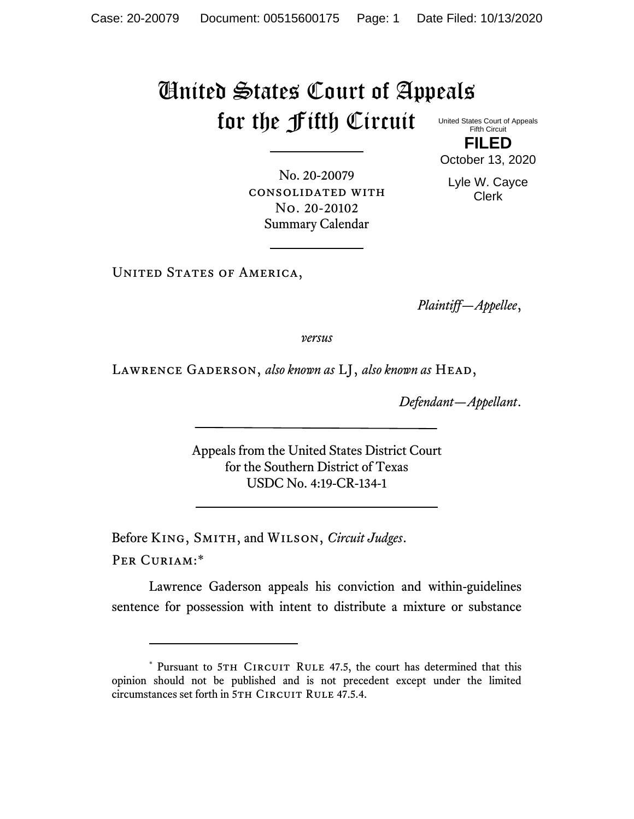## United States Court of Appeals for the Fifth Circuit

United States Court of Appeals Fifth Circuit **FILED**

October 13, 2020

Lyle W. Cayce Clerk

No. 20-20079 consolidated with No. 20-20102 Summary Calendar

UNITED STATES OF AMERICA,

*Plaintiff—Appellee*,

*versus*

Lawrence Gaderson, *also known as* LJ, *also known as* Head,

*Defendant—Appellant*.

Appeals from the United States District Court for the Southern District of Texas USDC No. 4:19-CR-134-1

Before King, Smith, and Wilson, *Circuit Judges*.

Per Curiam:\*

Lawrence Gaderson appeals his conviction and within-guidelines sentence for possession with intent to distribute a mixture or substance

<sup>\*</sup> Pursuant to 5TH CIRCUIT RULE 47.5, the court has determined that this opinion should not be published and is not precedent except under the limited circumstances set forth in 5TH CIRCUIT RULE 47.5.4.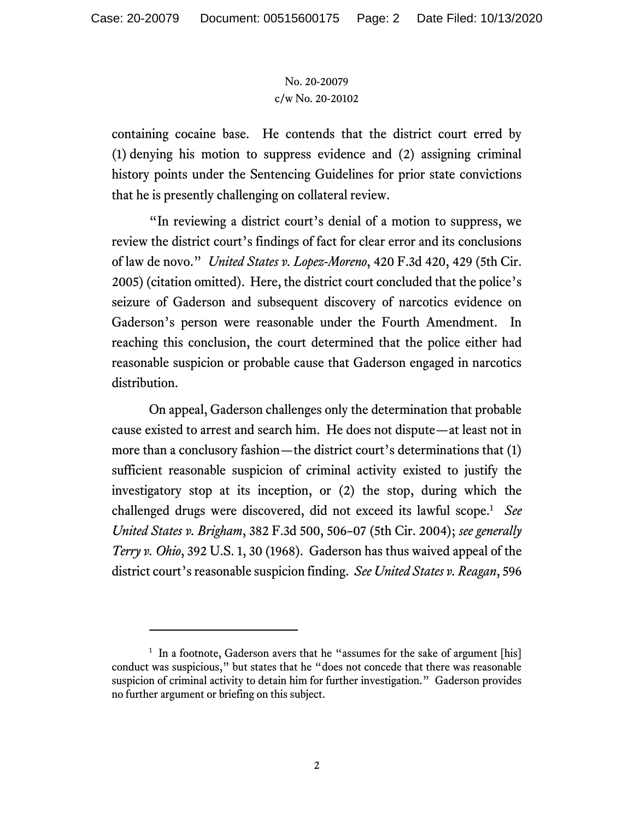## No. 20-20079 c/w No. 20-20102

containing cocaine base. He contends that the district court erred by (1) denying his motion to suppress evidence and (2) assigning criminal history points under the Sentencing Guidelines for prior state convictions that he is presently challenging on collateral review.

"In reviewing a district court's denial of a motion to suppress, we review the district court's findings of fact for clear error and its conclusions of law de novo." *United States v. Lopez-Moreno*, 420 F.3d 420, 429 (5th Cir. 2005) (citation omitted). Here, the district court concluded that the police's seizure of Gaderson and subsequent discovery of narcotics evidence on Gaderson's person were reasonable under the Fourth Amendment. In reaching this conclusion, the court determined that the police either had reasonable suspicion or probable cause that Gaderson engaged in narcotics distribution.

On appeal, Gaderson challenges only the determination that probable cause existed to arrest and search him. He does not dispute—at least not in more than a conclusory fashion—the district court's determinations that (1) sufficient reasonable suspicion of criminal activity existed to justify the investigatory stop at its inception, or (2) the stop, during which the challenged drugs were discovered, did not exceed its lawful scope.<sup>1</sup> *See United States v. Brigham*, 382 F.3d 500, 506–07 (5th Cir. 2004); *see generally Terry v. Ohio*, 392 U.S. 1, 30 (1968). Gaderson has thus waived appeal of the district court's reasonable suspicion finding. *See United States v. Reagan*, 596

<sup>&</sup>lt;sup>1</sup> In a footnote, Gaderson avers that he "assumes for the sake of argument [his] conduct was suspicious," but states that he "does not concede that there was reasonable suspicion of criminal activity to detain him for further investigation." Gaderson provides no further argument or briefing on this subject.